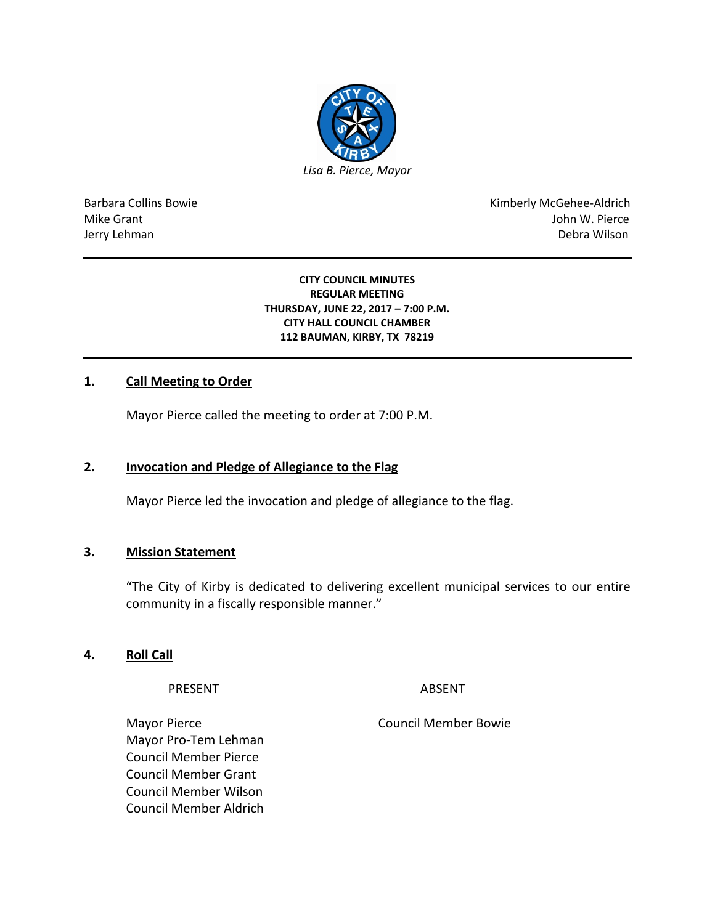

Barbara Collins Bowie **Kimberly McGehee-Aldrich** Mike Grant John W. Pierce Jerry Lehman Debra Wilson (2008) and the state of the state of the state of the state of the state of the state of the state of the state of the state of the state of the state of the state of the state of the state of the

#### **CITY COUNCIL MINUTES REGULAR MEETING THURSDAY, JUNE 22, 2017 – 7:00 P.M. CITY HALL COUNCIL CHAMBER 112 BAUMAN, KIRBY, TX 78219**

## **1. Call Meeting to Order**

Mayor Pierce called the meeting to order at 7:00 P.M.

### **2. Invocation and Pledge of Allegiance to the Flag**

Mayor Pierce led the invocation and pledge of allegiance to the flag.

#### **3. Mission Statement**

"The City of Kirby is dedicated to delivering excellent municipal services to our entire community in a fiscally responsible manner."

### **4. Roll Call**

PRESENT ABSENT

Mayor Pierce **Council Member Bowie** Council Member Bowie Mayor Pro-Tem Lehman Council Member Pierce Council Member Grant Council Member Wilson Council Member Aldrich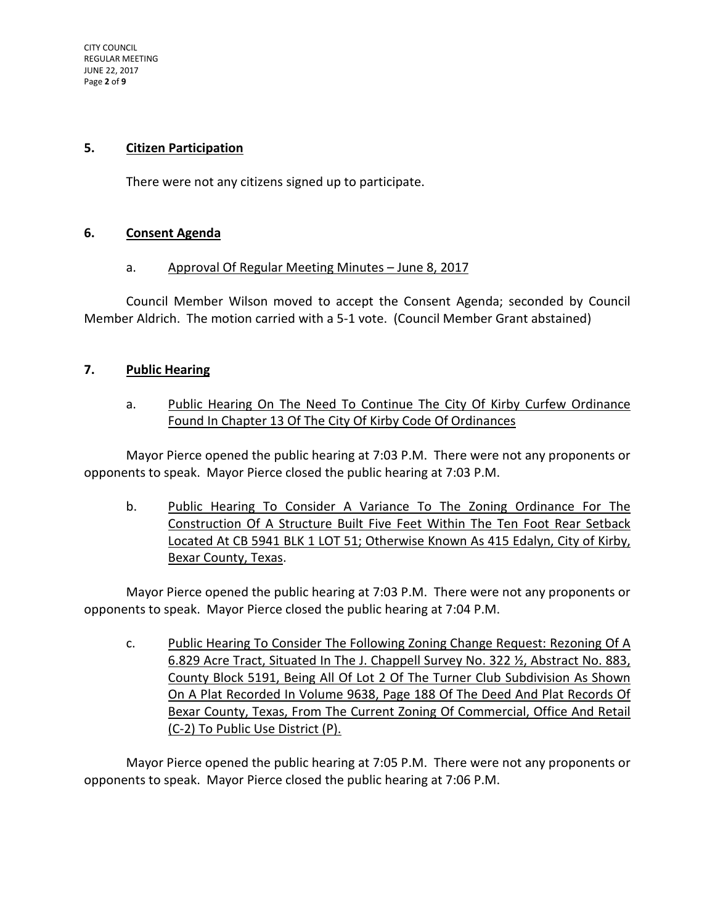### **5. Citizen Participation**

There were not any citizens signed up to participate.

### **6. Consent Agenda**

### a. Approval Of Regular Meeting Minutes – June 8, 2017

Council Member Wilson moved to accept the Consent Agenda; seconded by Council Member Aldrich. The motion carried with a 5-1 vote. (Council Member Grant abstained)

## **7. Public Hearing**

# a. Public Hearing On The Need To Continue The City Of Kirby Curfew Ordinance Found In Chapter 13 Of The City Of Kirby Code Of Ordinances

Mayor Pierce opened the public hearing at 7:03 P.M. There were not any proponents or opponents to speak. Mayor Pierce closed the public hearing at 7:03 P.M.

b. Public Hearing To Consider A Variance To The Zoning Ordinance For The Construction Of A Structure Built Five Feet Within The Ten Foot Rear Setback Located At CB 5941 BLK 1 LOT 51; Otherwise Known As 415 Edalyn, City of Kirby, Bexar County, Texas.

Mayor Pierce opened the public hearing at 7:03 P.M. There were not any proponents or opponents to speak. Mayor Pierce closed the public hearing at 7:04 P.M.

c. Public Hearing To Consider The Following Zoning Change Request: Rezoning Of A 6.829 Acre Tract, Situated In The J. Chappell Survey No. 322 ½, Abstract No. 883, County Block 5191, Being All Of Lot 2 Of The Turner Club Subdivision As Shown On A Plat Recorded In Volume 9638, Page 188 Of The Deed And Plat Records Of Bexar County, Texas, From The Current Zoning Of Commercial, Office And Retail (C-2) To Public Use District (P).

Mayor Pierce opened the public hearing at 7:05 P.M. There were not any proponents or opponents to speak. Mayor Pierce closed the public hearing at 7:06 P.M.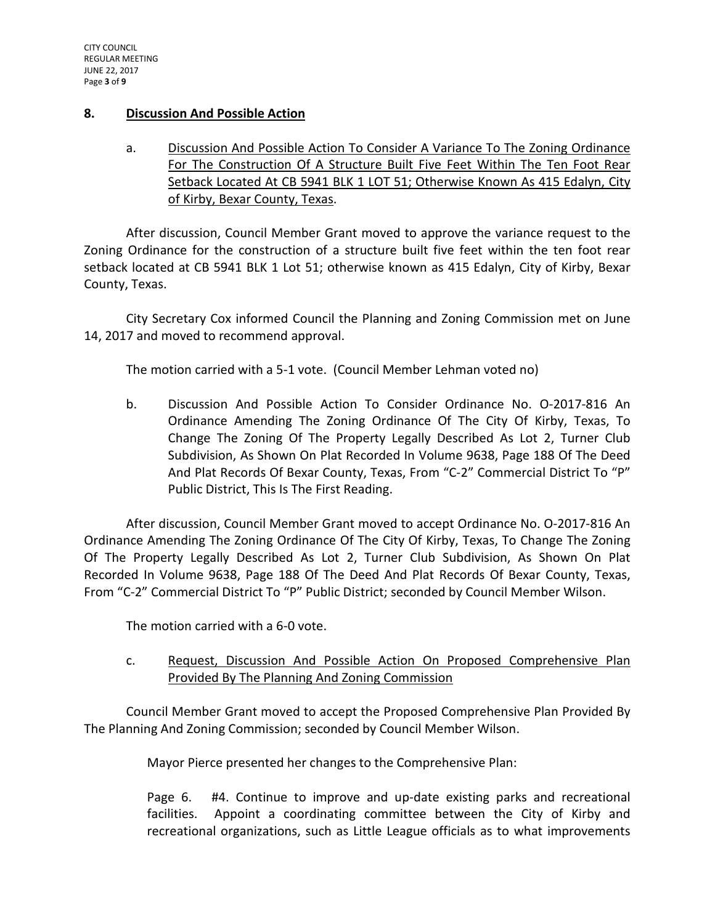### **8. Discussion And Possible Action**

a. Discussion And Possible Action To Consider A Variance To The Zoning Ordinance For The Construction Of A Structure Built Five Feet Within The Ten Foot Rear Setback Located At CB 5941 BLK 1 LOT 51; Otherwise Known As 415 Edalyn, City of Kirby, Bexar County, Texas.

After discussion, Council Member Grant moved to approve the variance request to the Zoning Ordinance for the construction of a structure built five feet within the ten foot rear setback located at CB 5941 BLK 1 Lot 51; otherwise known as 415 Edalyn, City of Kirby, Bexar County, Texas.

City Secretary Cox informed Council the Planning and Zoning Commission met on June 14, 2017 and moved to recommend approval.

The motion carried with a 5-1 vote. (Council Member Lehman voted no)

b. Discussion And Possible Action To Consider Ordinance No. O-2017-816 An Ordinance Amending The Zoning Ordinance Of The City Of Kirby, Texas, To Change The Zoning Of The Property Legally Described As Lot 2, Turner Club Subdivision, As Shown On Plat Recorded In Volume 9638, Page 188 Of The Deed And Plat Records Of Bexar County, Texas, From "C-2" Commercial District To "P" Public District, This Is The First Reading.

After discussion, Council Member Grant moved to accept Ordinance No. O-2017-816 An Ordinance Amending The Zoning Ordinance Of The City Of Kirby, Texas, To Change The Zoning Of The Property Legally Described As Lot 2, Turner Club Subdivision, As Shown On Plat Recorded In Volume 9638, Page 188 Of The Deed And Plat Records Of Bexar County, Texas, From "C-2" Commercial District To "P" Public District; seconded by Council Member Wilson.

The motion carried with a 6-0 vote.

c. Request, Discussion And Possible Action On Proposed Comprehensive Plan Provided By The Planning And Zoning Commission

Council Member Grant moved to accept the Proposed Comprehensive Plan Provided By The Planning And Zoning Commission; seconded by Council Member Wilson.

Mayor Pierce presented her changes to the Comprehensive Plan:

Page 6. #4. Continue to improve and up-date existing parks and recreational facilities. Appoint a coordinating committee between the City of Kirby and recreational organizations, such as Little League officials as to what improvements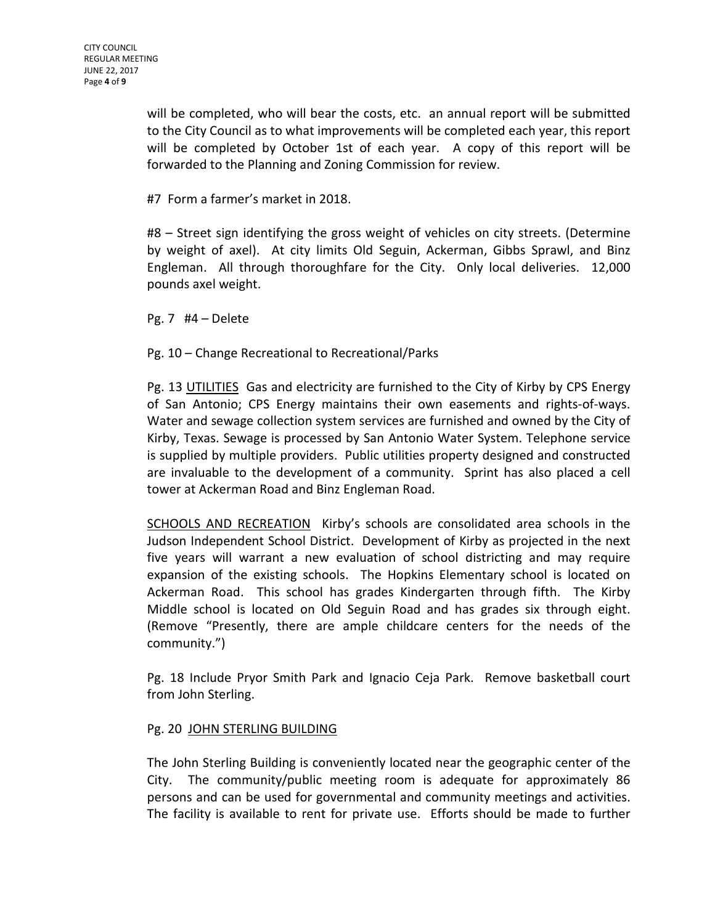will be completed, who will bear the costs, etc. an annual report will be submitted to the City Council as to what improvements will be completed each year, this report will be completed by October 1st of each year. A copy of this report will be forwarded to the Planning and Zoning Commission for review.

#7 Form a farmer's market in 2018.

#8 – Street sign identifying the gross weight of vehicles on city streets. (Determine by weight of axel). At city limits Old Seguin, Ackerman, Gibbs Sprawl, and Binz Engleman. All through thoroughfare for the City. Only local deliveries. 12,000 pounds axel weight.

Pg. 7 #4 – Delete

Pg. 10 – Change Recreational to Recreational/Parks

Pg. 13 UTILITIES Gas and electricity are furnished to the City of Kirby by CPS Energy of San Antonio; CPS Energy maintains their own easements and rights-of-ways. Water and sewage collection system services are furnished and owned by the City of Kirby, Texas. Sewage is processed by San Antonio Water System. Telephone service is supplied by multiple providers. Public utilities property designed and constructed are invaluable to the development of a community. Sprint has also placed a cell tower at Ackerman Road and Binz Engleman Road.

SCHOOLS AND RECREATION Kirby's schools are consolidated area schools in the Judson Independent School District. Development of Kirby as projected in the next five years will warrant a new evaluation of school districting and may require expansion of the existing schools. The Hopkins Elementary school is located on Ackerman Road. This school has grades Kindergarten through fifth. The Kirby Middle school is located on Old Seguin Road and has grades six through eight. (Remove "Presently, there are ample childcare centers for the needs of the community.")

Pg. 18 Include Pryor Smith Park and Ignacio Ceja Park. Remove basketball court from John Sterling.

### Pg. 20 JOHN STERLING BUILDING

The John Sterling Building is conveniently located near the geographic center of the City. The community/public meeting room is adequate for approximately 86 persons and can be used for governmental and community meetings and activities. The facility is available to rent for private use. Efforts should be made to further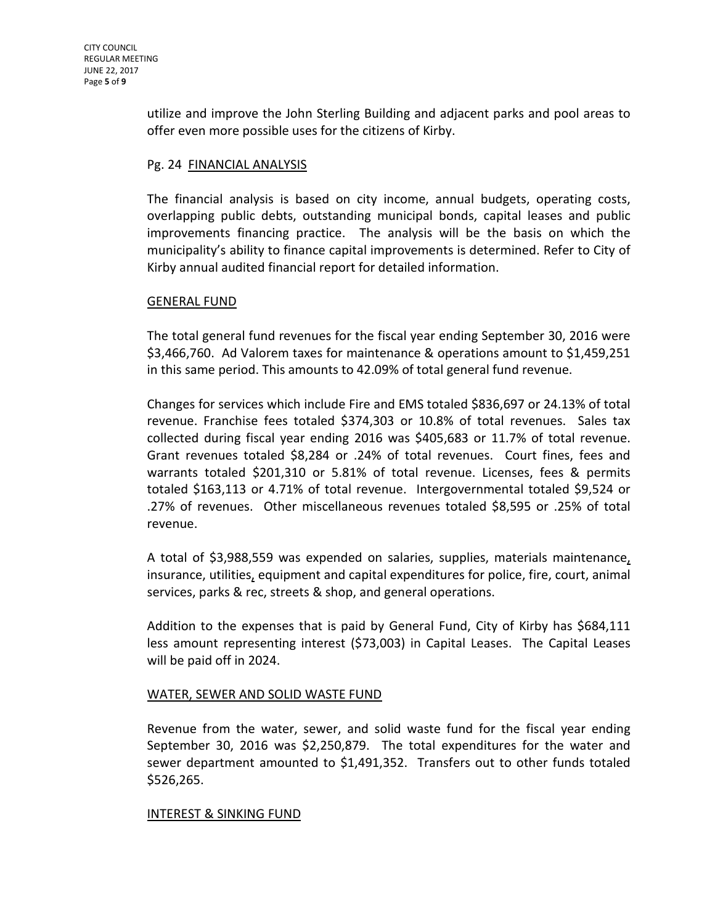utilize and improve the John Sterling Building and adjacent parks and pool areas to offer even more possible uses for the citizens of Kirby.

## Pg. 24 FINANCIAL ANALYSIS

The financial analysis is based on city income, annual budgets, operating costs, overlapping public debts, outstanding municipal bonds, capital leases and public improvements financing practice. The analysis will be the basis on which the municipality's ability to finance capital improvements is determined. Refer to City of Kirby annual audited financial report for detailed information.

### GENERAL FUND

The total general fund revenues for the fiscal year ending September 30, 2016 were \$3,466,760. Ad Valorem taxes for maintenance & operations amount to \$1,459,251 in this same period. This amounts to 42.09% of total general fund revenue.

Changes for services which include Fire and EMS totaled \$836,697 or 24.13% of total revenue. Franchise fees totaled \$374,303 or 10.8% of total revenues. Sales tax collected during fiscal year ending 2016 was \$405,683 or 11.7% of total revenue. Grant revenues totaled \$8,284 or .24% of total revenues. Court fines, fees and warrants totaled \$201,310 or 5.81% of total revenue. Licenses, fees & permits totaled \$163,113 or 4.71% of total revenue. Intergovernmental totaled \$9,524 or .27% of revenues. Other miscellaneous revenues totaled \$8,595 or .25% of total revenue.

A total of \$3,988,559 was expended on salaries, supplies, materials maintenance, insurance, utilities, equipment and capital expenditures for police, fire, court, animal services, parks & rec, streets & shop, and general operations.

Addition to the expenses that is paid by General Fund, City of Kirby has \$684,111 less amount representing interest (\$73,003) in Capital Leases. The Capital Leases will be paid off in 2024.

### WATER, SEWER AND SOLID WASTE FUND

Revenue from the water, sewer, and solid waste fund for the fiscal year ending September 30, 2016 was \$2,250,879. The total expenditures for the water and sewer department amounted to \$1,491,352. Transfers out to other funds totaled \$526,265.

### INTEREST & SINKING FUND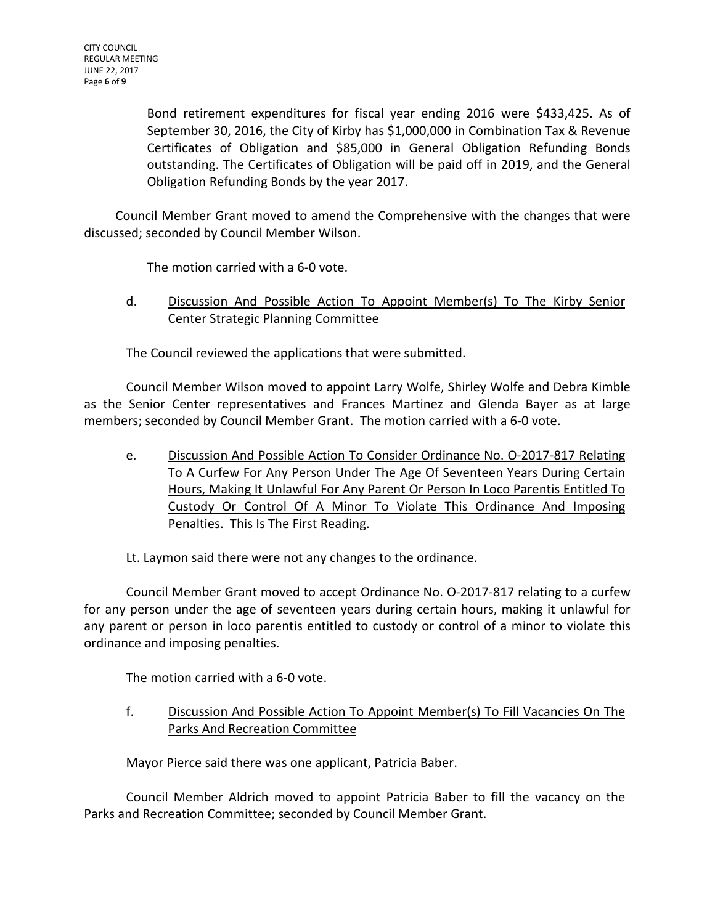Bond retirement expenditures for fiscal year ending 2016 were \$433,425. As of September 30, 2016, the City of Kirby has \$1,000,000 in Combination Tax & Revenue Certificates of Obligation and \$85,000 in General Obligation Refunding Bonds outstanding. The Certificates of Obligation will be paid off in 2019, and the General Obligation Refunding Bonds by the year 2017.

Council Member Grant moved to amend the Comprehensive with the changes that were discussed; seconded by Council Member Wilson.

The motion carried with a 6-0 vote.

d. Discussion And Possible Action To Appoint Member(s) To The Kirby Senior Center Strategic Planning Committee

The Council reviewed the applications that were submitted.

Council Member Wilson moved to appoint Larry Wolfe, Shirley Wolfe and Debra Kimble as the Senior Center representatives and Frances Martinez and Glenda Bayer as at large members; seconded by Council Member Grant. The motion carried with a 6-0 vote.

e. Discussion And Possible Action To Consider Ordinance No. O-2017-817 Relating To A Curfew For Any Person Under The Age Of Seventeen Years During Certain Hours, Making It Unlawful For Any Parent Or Person In Loco Parentis Entitled To Custody Or Control Of A Minor To Violate This Ordinance And Imposing Penalties. This Is The First Reading.

Lt. Laymon said there were not any changes to the ordinance.

Council Member Grant moved to accept Ordinance No. O-2017-817 relating to a curfew for any person under the age of seventeen years during certain hours, making it unlawful for any parent or person in loco parentis entitled to custody or control of a minor to violate this ordinance and imposing penalties.

The motion carried with a 6-0 vote.

f. Discussion And Possible Action To Appoint Member(s) To Fill Vacancies On The Parks And Recreation Committee

Mayor Pierce said there was one applicant, Patricia Baber.

Council Member Aldrich moved to appoint Patricia Baber to fill the vacancy on the Parks and Recreation Committee; seconded by Council Member Grant.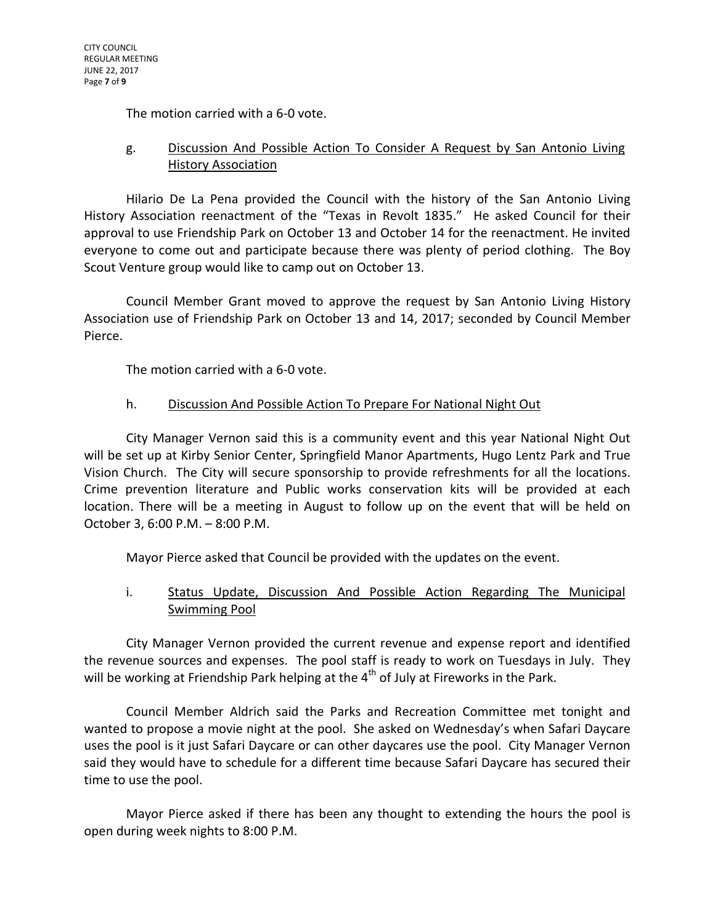The motion carried with a 6-0 vote.

# g. Discussion And Possible Action To Consider A Request by San Antonio Living History Association

Hilario De La Pena provided the Council with the history of the San Antonio Living History Association reenactment of the "Texas in Revolt 1835." He asked Council for their approval to use Friendship Park on October 13 and October 14 for the reenactment. He invited everyone to come out and participate because there was plenty of period clothing. The Boy Scout Venture group would like to camp out on October 13.

Council Member Grant moved to approve the request by San Antonio Living History Association use of Friendship Park on October 13 and 14, 2017; seconded by Council Member Pierce.

The motion carried with a 6-0 vote.

# h. Discussion And Possible Action To Prepare For National Night Out

City Manager Vernon said this is a community event and this year National Night Out will be set up at Kirby Senior Center, Springfield Manor Apartments, Hugo Lentz Park and True Vision Church. The City will secure sponsorship to provide refreshments for all the locations. Crime prevention literature and Public works conservation kits will be provided at each location. There will be a meeting in August to follow up on the event that will be held on October 3, 6:00 P.M. – 8:00 P.M.

Mayor Pierce asked that Council be provided with the updates on the event.

# i. Status Update, Discussion And Possible Action Regarding The Municipal Swimming Pool

City Manager Vernon provided the current revenue and expense report and identified the revenue sources and expenses. The pool staff is ready to work on Tuesdays in July. They will be working at Friendship Park helping at the 4<sup>th</sup> of July at Fireworks in the Park.

Council Member Aldrich said the Parks and Recreation Committee met tonight and wanted to propose a movie night at the pool. She asked on Wednesday's when Safari Daycare uses the pool is it just Safari Daycare or can other daycares use the pool. City Manager Vernon said they would have to schedule for a different time because Safari Daycare has secured their time to use the pool.

Mayor Pierce asked if there has been any thought to extending the hours the pool is open during week nights to 8:00 P.M.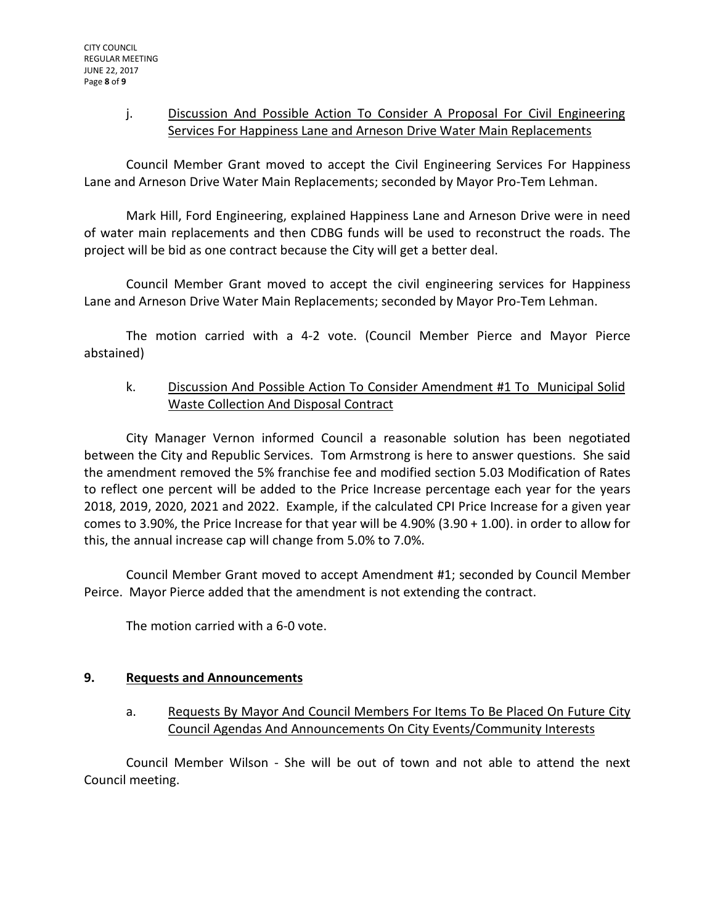## j. Discussion And Possible Action To Consider A Proposal For Civil Engineering Services For Happiness Lane and Arneson Drive Water Main Replacements

Council Member Grant moved to accept the Civil Engineering Services For Happiness Lane and Arneson Drive Water Main Replacements; seconded by Mayor Pro-Tem Lehman.

Mark Hill, Ford Engineering, explained Happiness Lane and Arneson Drive were in need of water main replacements and then CDBG funds will be used to reconstruct the roads. The project will be bid as one contract because the City will get a better deal.

Council Member Grant moved to accept the civil engineering services for Happiness Lane and Arneson Drive Water Main Replacements; seconded by Mayor Pro-Tem Lehman.

The motion carried with a 4-2 vote. (Council Member Pierce and Mayor Pierce abstained)

# k. Discussion And Possible Action To Consider Amendment #1 To Municipal Solid Waste Collection And Disposal Contract

City Manager Vernon informed Council a reasonable solution has been negotiated between the City and Republic Services. Tom Armstrong is here to answer questions. She said the amendment removed the 5% franchise fee and modified section 5.03 Modification of Rates to reflect one percent will be added to the Price Increase percentage each year for the years 2018, 2019, 2020, 2021 and 2022. Example, if the calculated CPI Price Increase for a given year comes to 3.90%, the Price Increase for that year will be 4.90% (3.90 + 1.00). in order to allow for this, the annual increase cap will change from 5.0% to 7.0%.

Council Member Grant moved to accept Amendment #1; seconded by Council Member Peirce. Mayor Pierce added that the amendment is not extending the contract.

The motion carried with a 6-0 vote.

# **9. Requests and Announcements**

a. Requests By Mayor And Council Members For Items To Be Placed On Future City Council Agendas And Announcements On City Events/Community Interests

Council Member Wilson - She will be out of town and not able to attend the next Council meeting.